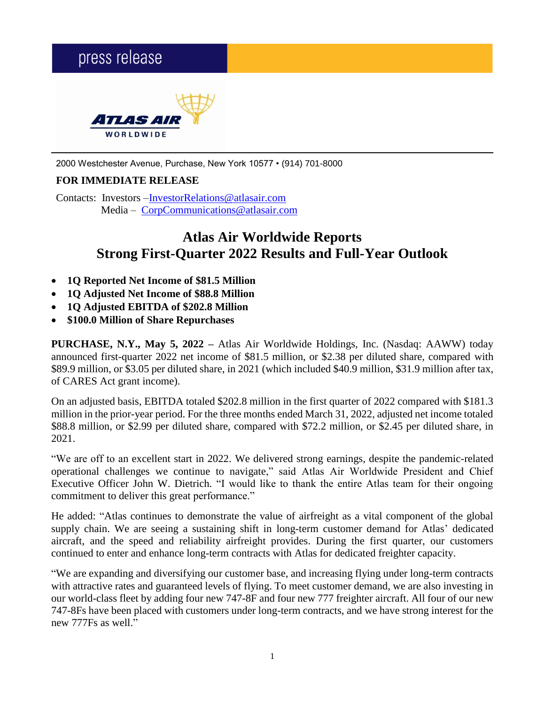# press release *TLAS AII* WORLDWIDE

2000 Westchester Avenue, Purchase, New York 10577 • (914) 701-8000

## **FOR IMMEDIATE RELEASE**

Contacts: Investors [–InvestorRelations@atlasair.com](mailto:InvestorRelations@atlasair.com) Media – [CorpCommunications@atlasair.com](mailto:CorpCommunications@atlasair.com)

# **Atlas Air Worldwide Reports Strong First-Quarter 2022 Results and Full-Year Outlook**

- **1Q Reported Net Income of \$81.5 Million**
- **1Q Adjusted Net Income of \$88.8 Million**
- **1Q Adjusted EBITDA of \$202.8 Million**
- **\$100.0 Million of Share Repurchases**

**PURCHASE, N.Y., May 5, 2022 –** Atlas Air Worldwide Holdings, Inc. (Nasdaq: AAWW) today announced first-quarter 2022 net income of \$81.5 million, or \$2.38 per diluted share, compared with \$89.9 million, or \$3.05 per diluted share, in 2021 (which included \$40.9 million, \$31.9 million after tax, of CARES Act grant income).

On an adjusted basis, EBITDA totaled \$202.8 million in the first quarter of 2022 compared with \$181.3 million in the prior-year period. For the three months ended March 31, 2022, adjusted net income totaled \$88.8 million, or \$2.99 per diluted share, compared with \$72.2 million, or \$2.45 per diluted share, in 2021.

"We are off to an excellent start in 2022. We delivered strong earnings, despite the pandemic-related operational challenges we continue to navigate," said Atlas Air Worldwide President and Chief Executive Officer John W. Dietrich. "I would like to thank the entire Atlas team for their ongoing commitment to deliver this great performance."

He added: "Atlas continues to demonstrate the value of airfreight as a vital component of the global supply chain. We are seeing a sustaining shift in long-term customer demand for Atlas' dedicated aircraft, and the speed and reliability airfreight provides. During the first quarter, our customers continued to enter and enhance long-term contracts with Atlas for dedicated freighter capacity.

"We are expanding and diversifying our customer base, and increasing flying under long-term contracts with attractive rates and guaranteed levels of flying. To meet customer demand, we are also investing in our world-class fleet by adding four new 747-8F and four new 777 freighter aircraft. All four of our new 747-8Fs have been placed with customers under long-term contracts, and we have strong interest for the new 777Fs as well."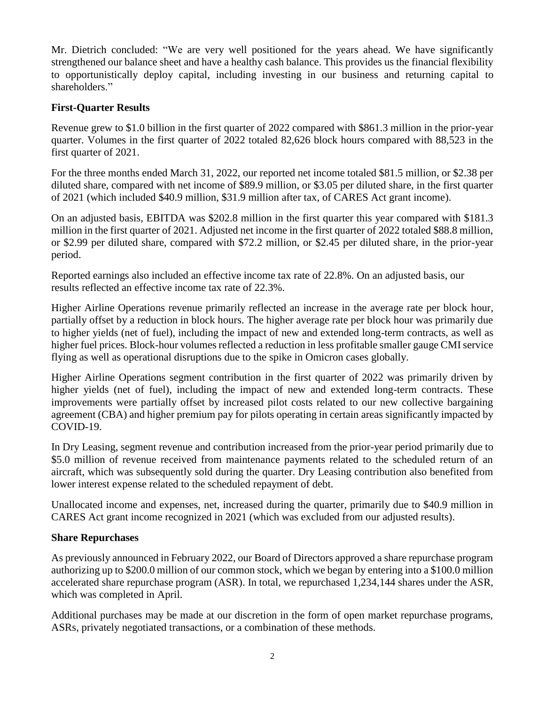Mr. Dietrich concluded: "We are very well positioned for the years ahead. We have significantly strengthened our balance sheet and have a healthy cash balance. This provides us the financial flexibility to opportunistically deploy capital, including investing in our business and returning capital to shareholders."

## **First-Quarter Results**

Revenue grew to \$1.0 billion in the first quarter of 2022 compared with \$861.3 million in the prior-year quarter. Volumes in the first quarter of 2022 totaled 82,626 block hours compared with 88,523 in the first quarter of 2021.

For the three months ended March 31, 2022, our reported net income totaled \$81.5 million, or \$2.38 per diluted share, compared with net income of \$89.9 million, or \$3.05 per diluted share, in the first quarter of 2021 (which included \$40.9 million, \$31.9 million after tax, of CARES Act grant income).

On an adjusted basis, EBITDA was \$202.8 million in the first quarter this year compared with \$181.3 million in the first quarter of 2021. Adjusted net income in the first quarter of 2022 totaled \$88.8 million, or \$2.99 per diluted share, compared with \$72.2 million, or \$2.45 per diluted share, in the prior-year period.

Reported earnings also included an effective income tax rate of 22.8%. On an adjusted basis, our results reflected an effective income tax rate of 22.3%.

Higher Airline Operations revenue primarily reflected an increase in the average rate per block hour, partially offset by a reduction in block hours. The higher average rate per block hour was primarily due to higher yields (net of fuel), including the impact of new and extended long-term contracts, as well as higher fuel prices. Block-hour volumes reflected a reduction in less profitable smaller gauge CMI service flying as well as operational disruptions due to the spike in Omicron cases globally.

Higher Airline Operations segment contribution in the first quarter of 2022 was primarily driven by higher yields (net of fuel), including the impact of new and extended long-term contracts. These improvements were partially offset by increased pilot costs related to our new collective bargaining agreement (CBA) and higher premium pay for pilots operating in certain areas significantly impacted by COVID-19.

In Dry Leasing, segment revenue and contribution increased from the prior-year period primarily due to \$5.0 million of revenue received from maintenance payments related to the scheduled return of an aircraft, which was subsequently sold during the quarter. Dry Leasing contribution also benefited from lower interest expense related to the scheduled repayment of debt.

Unallocated income and expenses, net, increased during the quarter, primarily due to \$40.9 million in CARES Act grant income recognized in 2021 (which was excluded from our adjusted results).

## **Share Repurchases**

As previously announced in February 2022, our Board of Directors approved a share repurchase program authorizing up to \$200.0 million of our common stock, which we began by entering into a \$100.0 million accelerated share repurchase program (ASR). In total, we repurchased 1,234,144 shares under the ASR, which was completed in April.

Additional purchases may be made at our discretion in the form of open market repurchase programs, ASRs, privately negotiated transactions, or a combination of these methods.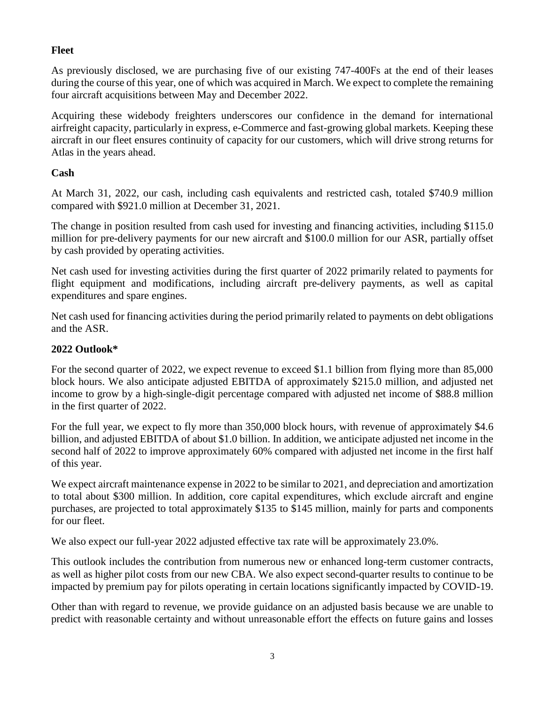## **Fleet**

As previously disclosed, we are purchasing five of our existing 747-400Fs at the end of their leases during the course of this year, one of which was acquired in March. We expect to complete the remaining four aircraft acquisitions between May and December 2022.

Acquiring these widebody freighters underscores our confidence in the demand for international airfreight capacity, particularly in express, e-Commerce and fast-growing global markets. Keeping these aircraft in our fleet ensures continuity of capacity for our customers, which will drive strong returns for Atlas in the years ahead.

## **Cash**

At March 31, 2022, our cash, including cash equivalents and restricted cash, totaled \$740.9 million compared with \$921.0 million at December 31, 2021.

The change in position resulted from cash used for investing and financing activities, including \$115.0 million for pre-delivery payments for our new aircraft and \$100.0 million for our ASR, partially offset by cash provided by operating activities.

Net cash used for investing activities during the first quarter of 2022 primarily related to payments for flight equipment and modifications, including aircraft pre-delivery payments, as well as capital expenditures and spare engines.

Net cash used for financing activities during the period primarily related to payments on debt obligations and the ASR.

## **2022 Outlook\***

For the second quarter of 2022, we expect revenue to exceed \$1.1 billion from flying more than 85,000 block hours. We also anticipate adjusted EBITDA of approximately \$215.0 million, and adjusted net income to grow by a high-single-digit percentage compared with adjusted net income of \$88.8 million in the first quarter of 2022.

For the full year, we expect to fly more than 350,000 block hours, with revenue of approximately \$4.6 billion, and adjusted EBITDA of about \$1.0 billion. In addition, we anticipate adjusted net income in the second half of 2022 to improve approximately 60% compared with adjusted net income in the first half of this year.

We expect aircraft maintenance expense in 2022 to be similar to 2021, and depreciation and amortization to total about \$300 million. In addition, core capital expenditures, which exclude aircraft and engine purchases, are projected to total approximately \$135 to \$145 million, mainly for parts and components for our fleet.

We also expect our full-year 2022 adjusted effective tax rate will be approximately 23.0%.

This outlook includes the contribution from numerous new or enhanced long-term customer contracts, as well as higher pilot costs from our new CBA. We also expect second-quarter results to continue to be impacted by premium pay for pilots operating in certain locations significantly impacted by COVID-19.

Other than with regard to revenue, we provide guidance on an adjusted basis because we are unable to predict with reasonable certainty and without unreasonable effort the effects on future gains and losses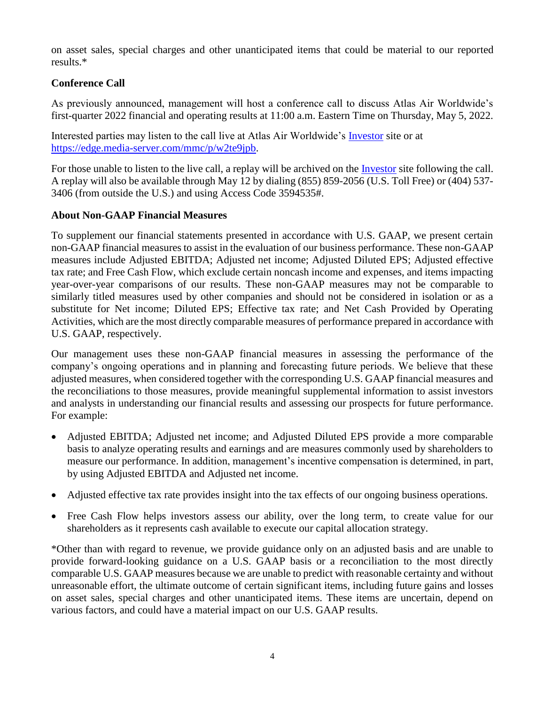on asset sales, special charges and other unanticipated items that could be material to our reported results.\*

## **Conference Call**

As previously announced, management will host a conference call to discuss Atlas Air Worldwide's first-quarter 2022 financial and operating results at 11:00 a.m. Eastern Time on Thursday, May 5, 2022.

Interested parties may listen to the call live at Atlas Air Worldwide's [Investor](https://www.atlasairworldwide.com/investors/presentations/) site or at [https://edge.media-server.com/mmc/p/w2te9jpb.](https://edge.media-server.com/mmc/p/w2te9jpb)

For those unable to listen to the live call, a replay will be archived on the [Investor](https://www.atlasairworldwide.com/investors/presentations/) site following the call. A replay will also be available through May 12 by dialing (855) 859-2056 (U.S. Toll Free) or (404) 537- 3406 (from outside the U.S.) and using Access Code 3594535#.

## **About Non-GAAP Financial Measures**

To supplement our financial statements presented in accordance with U.S. GAAP, we present certain non-GAAP financial measures to assist in the evaluation of our business performance. These non-GAAP measures include Adjusted EBITDA; Adjusted net income; Adjusted Diluted EPS; Adjusted effective tax rate; and Free Cash Flow, which exclude certain noncash income and expenses, and items impacting year-over-year comparisons of our results. These non-GAAP measures may not be comparable to similarly titled measures used by other companies and should not be considered in isolation or as a substitute for Net income; Diluted EPS; Effective tax rate; and Net Cash Provided by Operating Activities, which are the most directly comparable measures of performance prepared in accordance with U.S. GAAP, respectively.

Our management uses these non-GAAP financial measures in assessing the performance of the company's ongoing operations and in planning and forecasting future periods. We believe that these adjusted measures, when considered together with the corresponding U.S. GAAP financial measures and the reconciliations to those measures, provide meaningful supplemental information to assist investors and analysts in understanding our financial results and assessing our prospects for future performance. For example:

- Adjusted EBITDA; Adjusted net income; and Adjusted Diluted EPS provide a more comparable basis to analyze operating results and earnings and are measures commonly used by shareholders to measure our performance. In addition, management's incentive compensation is determined, in part, by using Adjusted EBITDA and Adjusted net income.
- Adjusted effective tax rate provides insight into the tax effects of our ongoing business operations.
- Free Cash Flow helps investors assess our ability, over the long term, to create value for our shareholders as it represents cash available to execute our capital allocation strategy.

\*Other than with regard to revenue, we provide guidance only on an adjusted basis and are unable to provide forward-looking guidance on a U.S. GAAP basis or a reconciliation to the most directly comparable U.S. GAAP measures because we are unable to predict with reasonable certainty and without unreasonable effort, the ultimate outcome of certain significant items, including future gains and losses on asset sales, special charges and other unanticipated items. These items are uncertain, depend on various factors, and could have a material impact on our U.S. GAAP results.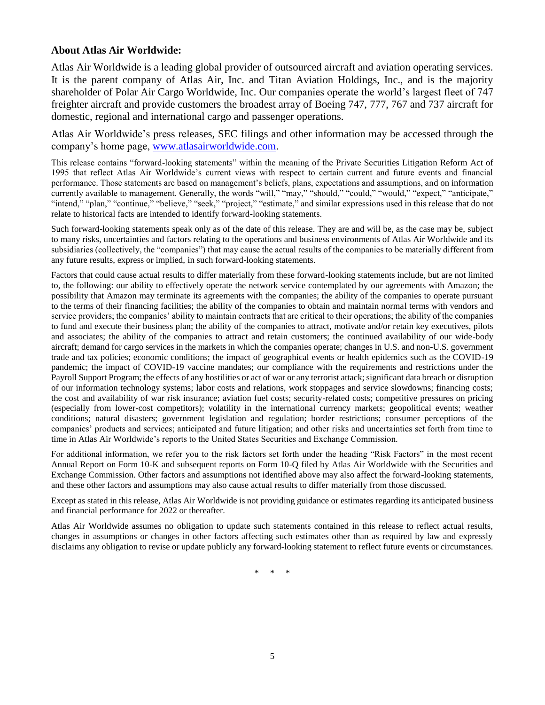#### **About Atlas Air Worldwide:**

Atlas Air Worldwide is a leading global provider of outsourced aircraft and aviation operating services. It is the parent company of Atlas Air, Inc. and Titan Aviation Holdings, Inc., and is the majority shareholder of Polar Air Cargo Worldwide, Inc. Our companies operate the world's largest fleet of 747 freighter aircraft and provide customers the broadest array of Boeing 747, 777, 767 and 737 aircraft for domestic, regional and international cargo and passenger operations.

Atlas Air Worldwide's press releases, SEC filings and other information may be accessed through the company's home page, [www.atlasairworldwide.com.](http://www.atlasairworldwide.com/)

This release contains "forward-looking statements" within the meaning of the Private Securities Litigation Reform Act of 1995 that reflect Atlas Air Worldwide's current views with respect to certain current and future events and financial performance. Those statements are based on management's beliefs, plans, expectations and assumptions, and on information currently available to management. Generally, the words "will," "may," "should," "could," "would," "expect," "anticipate," "intend," "plan," "continue," "believe," "seek," "project," "estimate," and similar expressions used in this release that do not relate to historical facts are intended to identify forward-looking statements.

Such forward-looking statements speak only as of the date of this release. They are and will be, as the case may be, subject to many risks, uncertainties and factors relating to the operations and business environments of Atlas Air Worldwide and its subsidiaries (collectively, the "companies") that may cause the actual results of the companies to be materially different from any future results, express or implied, in such forward-looking statements.

Factors that could cause actual results to differ materially from these forward-looking statements include, but are not limited to, the following: our ability to effectively operate the network service contemplated by our agreements with Amazon; the possibility that Amazon may terminate its agreements with the companies; the ability of the companies to operate pursuant to the terms of their financing facilities; the ability of the companies to obtain and maintain normal terms with vendors and service providers; the companies' ability to maintain contracts that are critical to their operations; the ability of the companies to fund and execute their business plan; the ability of the companies to attract, motivate and/or retain key executives, pilots and associates; the ability of the companies to attract and retain customers; the continued availability of our wide-body aircraft; demand for cargo services in the markets in which the companies operate; changes in U.S. and non-U.S. government trade and tax policies; economic conditions; the impact of geographical events or health epidemics such as the COVID-19 pandemic; the impact of COVID-19 vaccine mandates; our compliance with the requirements and restrictions under the Payroll Support Program; the effects of any hostilities or act of war or any terrorist attack; significant data breach or disruption of our information technology systems; labor costs and relations, work stoppages and service slowdowns; financing costs; the cost and availability of war risk insurance; aviation fuel costs; security-related costs; competitive pressures on pricing (especially from lower-cost competitors); volatility in the international currency markets; geopolitical events; weather conditions; natural disasters; government legislation and regulation; border restrictions; consumer perceptions of the companies' products and services; anticipated and future litigation; and other risks and uncertainties set forth from time to time in Atlas Air Worldwide's reports to the United States Securities and Exchange Commission.

For additional information, we refer you to the risk factors set forth under the heading "Risk Factors" in the most recent Annual Report on Form 10-K and subsequent reports on Form 10-Q filed by Atlas Air Worldwide with the Securities and Exchange Commission. Other factors and assumptions not identified above may also affect the forward-looking statements, and these other factors and assumptions may also cause actual results to differ materially from those discussed.

Except as stated in this release, Atlas Air Worldwide is not providing guidance or estimates regarding its anticipated business and financial performance for 2022 or thereafter.

Atlas Air Worldwide assumes no obligation to update such statements contained in this release to reflect actual results, changes in assumptions or changes in other factors affecting such estimates other than as required by law and expressly disclaims any obligation to revise or update publicly any forward-looking statement to reflect future events or circumstances.

\* \* \*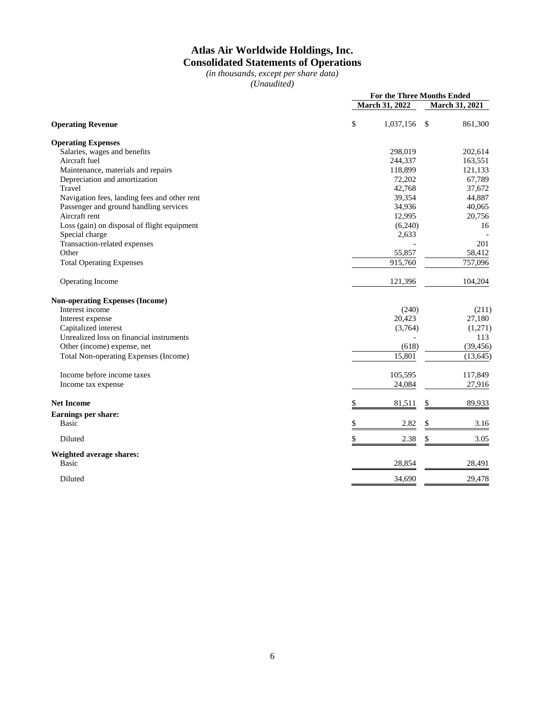## **Atlas Air Worldwide Holdings, Inc. Consolidated Statements of Operations**

*(in thousands, except per share data) (Unaudited)*

|                                              |                       | For the Three Months Ended |
|----------------------------------------------|-----------------------|----------------------------|
|                                              | <b>March 31, 2022</b> | March 31, 2021             |
| <b>Operating Revenue</b>                     | \$<br>1,037,156       | $\mathcal{S}$<br>861,300   |
| <b>Operating Expenses</b>                    |                       |                            |
| Salaries, wages and benefits                 | 298,019               | 202,614                    |
| Aircraft fuel                                | 244,337               | 163,551                    |
| Maintenance, materials and repairs           | 118,899               | 121,133                    |
| Depreciation and amortization                | 72,202                | 67,789                     |
| Travel                                       | 42,768                | 37,672                     |
| Navigation fees, landing fees and other rent | 39,354                | 44,887                     |
| Passenger and ground handling services       | 34,936                | 40,065                     |
| Aircraft rent                                | 12,995                | 20,756                     |
| Loss (gain) on disposal of flight equipment  | (6,240)               | 16                         |
| Special charge                               | 2,633                 |                            |
| Transaction-related expenses                 |                       | 201                        |
| Other                                        | 55,857                | 58,412                     |
| <b>Total Operating Expenses</b>              | 915,760               | 757,096                    |
| Operating Income                             | 121,396               | 104,204                    |
| <b>Non-operating Expenses (Income)</b>       |                       |                            |
| Interest income                              | (240)                 | (211)                      |
| Interest expense                             | 20,423                | 27,180                     |
| Capitalized interest                         | (3,764)               | (1,271)                    |
| Unrealized loss on financial instruments     |                       | 113                        |
| Other (income) expense, net                  | (618)                 | (39, 456)                  |
| Total Non-operating Expenses (Income)        | 15,801                | (13, 645)                  |
| Income before income taxes                   | 105,595               | 117,849                    |
| Income tax expense                           | 24,084                | 27,916                     |
| <b>Net Income</b>                            | \$<br>81,511          | 89,933<br>S                |
| Earnings per share:                          |                       |                            |
| <b>Basic</b>                                 | \$<br>2.82            | 3.16<br>\$                 |
| Diluted                                      | \$<br>2.38            | \$<br>3.05                 |
| Weighted average shares:                     |                       |                            |
| <b>Basic</b>                                 | 28,854                | 28,491                     |
| Diluted                                      | 34,690                | 29,478                     |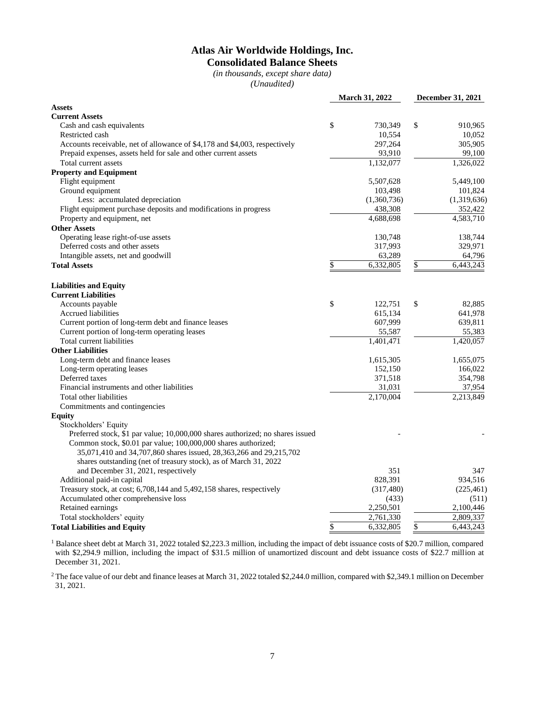## **Atlas Air Worldwide Holdings, Inc. Consolidated Balance Sheets**

*(in thousands, except share data) (Unaudited)*

| <b>Assets</b><br><b>Current Assets</b><br>\$<br>Cash and cash equivalents<br>730,349<br>\$<br>910,965<br>10,554<br>10,052<br>Restricted cash<br>305,905<br>Accounts receivable, net of allowance of \$4,178 and \$4,003, respectively<br>297,264<br>Prepaid expenses, assets held for sale and other current assets<br>93,910<br>99,100<br>1,132,077<br>1,326,022<br>Total current assets<br><b>Property and Equipment</b><br>Flight equipment<br>5,449,100<br>5,507,628<br>Ground equipment<br>101,824<br>103,498<br>Less: accumulated depreciation<br>(1,360,736)<br>(1,319,636)<br>Flight equipment purchase deposits and modifications in progress<br>438,308<br>352,422<br>Property and equipment, net<br>4,688,698<br>4,583,710<br><b>Other Assets</b><br>Operating lease right-of-use assets<br>138,744<br>130,748<br>Deferred costs and other assets<br>317,993<br>329,971<br>64,796<br>Intangible assets, net and goodwill<br>63,289<br>6,332,805<br>\$<br>6,443,243<br>\$<br><b>Total Assets</b><br><b>Liabilities and Equity</b><br><b>Current Liabilities</b><br>\$<br>Accounts payable<br>\$<br>82,885<br>122,751<br>615,134<br>641,978<br><b>Accrued liabilities</b><br>Current portion of long-term debt and finance leases<br>607,999<br>639,811<br>55,383<br>Current portion of long-term operating leases<br>55,587<br>Total current liabilities<br>1,401,471<br>1,420,057<br><b>Other Liabilities</b><br>Long-term debt and finance leases<br>1,655,075<br>1,615,305<br>Long-term operating leases<br>152,150<br>166,022<br>Deferred taxes<br>371,518<br>354,798<br>Financial instruments and other liabilities<br>31,031<br>37,954<br>2,170,004<br>2,213,849<br>Total other liabilities<br>Commitments and contingencies<br><b>Equity</b><br>Stockholders' Equity<br>Preferred stock, \$1 par value; 10,000,000 shares authorized; no shares issued |
|-------------------------------------------------------------------------------------------------------------------------------------------------------------------------------------------------------------------------------------------------------------------------------------------------------------------------------------------------------------------------------------------------------------------------------------------------------------------------------------------------------------------------------------------------------------------------------------------------------------------------------------------------------------------------------------------------------------------------------------------------------------------------------------------------------------------------------------------------------------------------------------------------------------------------------------------------------------------------------------------------------------------------------------------------------------------------------------------------------------------------------------------------------------------------------------------------------------------------------------------------------------------------------------------------------------------------------------------------------------------------------------------------------------------------------------------------------------------------------------------------------------------------------------------------------------------------------------------------------------------------------------------------------------------------------------------------------------------------------------------------------------------------------------------------------------------------------------------------------------------------|
|                                                                                                                                                                                                                                                                                                                                                                                                                                                                                                                                                                                                                                                                                                                                                                                                                                                                                                                                                                                                                                                                                                                                                                                                                                                                                                                                                                                                                                                                                                                                                                                                                                                                                                                                                                                                                                                                         |
|                                                                                                                                                                                                                                                                                                                                                                                                                                                                                                                                                                                                                                                                                                                                                                                                                                                                                                                                                                                                                                                                                                                                                                                                                                                                                                                                                                                                                                                                                                                                                                                                                                                                                                                                                                                                                                                                         |
|                                                                                                                                                                                                                                                                                                                                                                                                                                                                                                                                                                                                                                                                                                                                                                                                                                                                                                                                                                                                                                                                                                                                                                                                                                                                                                                                                                                                                                                                                                                                                                                                                                                                                                                                                                                                                                                                         |
|                                                                                                                                                                                                                                                                                                                                                                                                                                                                                                                                                                                                                                                                                                                                                                                                                                                                                                                                                                                                                                                                                                                                                                                                                                                                                                                                                                                                                                                                                                                                                                                                                                                                                                                                                                                                                                                                         |
|                                                                                                                                                                                                                                                                                                                                                                                                                                                                                                                                                                                                                                                                                                                                                                                                                                                                                                                                                                                                                                                                                                                                                                                                                                                                                                                                                                                                                                                                                                                                                                                                                                                                                                                                                                                                                                                                         |
|                                                                                                                                                                                                                                                                                                                                                                                                                                                                                                                                                                                                                                                                                                                                                                                                                                                                                                                                                                                                                                                                                                                                                                                                                                                                                                                                                                                                                                                                                                                                                                                                                                                                                                                                                                                                                                                                         |
|                                                                                                                                                                                                                                                                                                                                                                                                                                                                                                                                                                                                                                                                                                                                                                                                                                                                                                                                                                                                                                                                                                                                                                                                                                                                                                                                                                                                                                                                                                                                                                                                                                                                                                                                                                                                                                                                         |
|                                                                                                                                                                                                                                                                                                                                                                                                                                                                                                                                                                                                                                                                                                                                                                                                                                                                                                                                                                                                                                                                                                                                                                                                                                                                                                                                                                                                                                                                                                                                                                                                                                                                                                                                                                                                                                                                         |
|                                                                                                                                                                                                                                                                                                                                                                                                                                                                                                                                                                                                                                                                                                                                                                                                                                                                                                                                                                                                                                                                                                                                                                                                                                                                                                                                                                                                                                                                                                                                                                                                                                                                                                                                                                                                                                                                         |
|                                                                                                                                                                                                                                                                                                                                                                                                                                                                                                                                                                                                                                                                                                                                                                                                                                                                                                                                                                                                                                                                                                                                                                                                                                                                                                                                                                                                                                                                                                                                                                                                                                                                                                                                                                                                                                                                         |
|                                                                                                                                                                                                                                                                                                                                                                                                                                                                                                                                                                                                                                                                                                                                                                                                                                                                                                                                                                                                                                                                                                                                                                                                                                                                                                                                                                                                                                                                                                                                                                                                                                                                                                                                                                                                                                                                         |
|                                                                                                                                                                                                                                                                                                                                                                                                                                                                                                                                                                                                                                                                                                                                                                                                                                                                                                                                                                                                                                                                                                                                                                                                                                                                                                                                                                                                                                                                                                                                                                                                                                                                                                                                                                                                                                                                         |
|                                                                                                                                                                                                                                                                                                                                                                                                                                                                                                                                                                                                                                                                                                                                                                                                                                                                                                                                                                                                                                                                                                                                                                                                                                                                                                                                                                                                                                                                                                                                                                                                                                                                                                                                                                                                                                                                         |
|                                                                                                                                                                                                                                                                                                                                                                                                                                                                                                                                                                                                                                                                                                                                                                                                                                                                                                                                                                                                                                                                                                                                                                                                                                                                                                                                                                                                                                                                                                                                                                                                                                                                                                                                                                                                                                                                         |
|                                                                                                                                                                                                                                                                                                                                                                                                                                                                                                                                                                                                                                                                                                                                                                                                                                                                                                                                                                                                                                                                                                                                                                                                                                                                                                                                                                                                                                                                                                                                                                                                                                                                                                                                                                                                                                                                         |
|                                                                                                                                                                                                                                                                                                                                                                                                                                                                                                                                                                                                                                                                                                                                                                                                                                                                                                                                                                                                                                                                                                                                                                                                                                                                                                                                                                                                                                                                                                                                                                                                                                                                                                                                                                                                                                                                         |
|                                                                                                                                                                                                                                                                                                                                                                                                                                                                                                                                                                                                                                                                                                                                                                                                                                                                                                                                                                                                                                                                                                                                                                                                                                                                                                                                                                                                                                                                                                                                                                                                                                                                                                                                                                                                                                                                         |
|                                                                                                                                                                                                                                                                                                                                                                                                                                                                                                                                                                                                                                                                                                                                                                                                                                                                                                                                                                                                                                                                                                                                                                                                                                                                                                                                                                                                                                                                                                                                                                                                                                                                                                                                                                                                                                                                         |
|                                                                                                                                                                                                                                                                                                                                                                                                                                                                                                                                                                                                                                                                                                                                                                                                                                                                                                                                                                                                                                                                                                                                                                                                                                                                                                                                                                                                                                                                                                                                                                                                                                                                                                                                                                                                                                                                         |
|                                                                                                                                                                                                                                                                                                                                                                                                                                                                                                                                                                                                                                                                                                                                                                                                                                                                                                                                                                                                                                                                                                                                                                                                                                                                                                                                                                                                                                                                                                                                                                                                                                                                                                                                                                                                                                                                         |
|                                                                                                                                                                                                                                                                                                                                                                                                                                                                                                                                                                                                                                                                                                                                                                                                                                                                                                                                                                                                                                                                                                                                                                                                                                                                                                                                                                                                                                                                                                                                                                                                                                                                                                                                                                                                                                                                         |
|                                                                                                                                                                                                                                                                                                                                                                                                                                                                                                                                                                                                                                                                                                                                                                                                                                                                                                                                                                                                                                                                                                                                                                                                                                                                                                                                                                                                                                                                                                                                                                                                                                                                                                                                                                                                                                                                         |
|                                                                                                                                                                                                                                                                                                                                                                                                                                                                                                                                                                                                                                                                                                                                                                                                                                                                                                                                                                                                                                                                                                                                                                                                                                                                                                                                                                                                                                                                                                                                                                                                                                                                                                                                                                                                                                                                         |
|                                                                                                                                                                                                                                                                                                                                                                                                                                                                                                                                                                                                                                                                                                                                                                                                                                                                                                                                                                                                                                                                                                                                                                                                                                                                                                                                                                                                                                                                                                                                                                                                                                                                                                                                                                                                                                                                         |
|                                                                                                                                                                                                                                                                                                                                                                                                                                                                                                                                                                                                                                                                                                                                                                                                                                                                                                                                                                                                                                                                                                                                                                                                                                                                                                                                                                                                                                                                                                                                                                                                                                                                                                                                                                                                                                                                         |
|                                                                                                                                                                                                                                                                                                                                                                                                                                                                                                                                                                                                                                                                                                                                                                                                                                                                                                                                                                                                                                                                                                                                                                                                                                                                                                                                                                                                                                                                                                                                                                                                                                                                                                                                                                                                                                                                         |
|                                                                                                                                                                                                                                                                                                                                                                                                                                                                                                                                                                                                                                                                                                                                                                                                                                                                                                                                                                                                                                                                                                                                                                                                                                                                                                                                                                                                                                                                                                                                                                                                                                                                                                                                                                                                                                                                         |
|                                                                                                                                                                                                                                                                                                                                                                                                                                                                                                                                                                                                                                                                                                                                                                                                                                                                                                                                                                                                                                                                                                                                                                                                                                                                                                                                                                                                                                                                                                                                                                                                                                                                                                                                                                                                                                                                         |
|                                                                                                                                                                                                                                                                                                                                                                                                                                                                                                                                                                                                                                                                                                                                                                                                                                                                                                                                                                                                                                                                                                                                                                                                                                                                                                                                                                                                                                                                                                                                                                                                                                                                                                                                                                                                                                                                         |
|                                                                                                                                                                                                                                                                                                                                                                                                                                                                                                                                                                                                                                                                                                                                                                                                                                                                                                                                                                                                                                                                                                                                                                                                                                                                                                                                                                                                                                                                                                                                                                                                                                                                                                                                                                                                                                                                         |
|                                                                                                                                                                                                                                                                                                                                                                                                                                                                                                                                                                                                                                                                                                                                                                                                                                                                                                                                                                                                                                                                                                                                                                                                                                                                                                                                                                                                                                                                                                                                                                                                                                                                                                                                                                                                                                                                         |
|                                                                                                                                                                                                                                                                                                                                                                                                                                                                                                                                                                                                                                                                                                                                                                                                                                                                                                                                                                                                                                                                                                                                                                                                                                                                                                                                                                                                                                                                                                                                                                                                                                                                                                                                                                                                                                                                         |
|                                                                                                                                                                                                                                                                                                                                                                                                                                                                                                                                                                                                                                                                                                                                                                                                                                                                                                                                                                                                                                                                                                                                                                                                                                                                                                                                                                                                                                                                                                                                                                                                                                                                                                                                                                                                                                                                         |
|                                                                                                                                                                                                                                                                                                                                                                                                                                                                                                                                                                                                                                                                                                                                                                                                                                                                                                                                                                                                                                                                                                                                                                                                                                                                                                                                                                                                                                                                                                                                                                                                                                                                                                                                                                                                                                                                         |
|                                                                                                                                                                                                                                                                                                                                                                                                                                                                                                                                                                                                                                                                                                                                                                                                                                                                                                                                                                                                                                                                                                                                                                                                                                                                                                                                                                                                                                                                                                                                                                                                                                                                                                                                                                                                                                                                         |
|                                                                                                                                                                                                                                                                                                                                                                                                                                                                                                                                                                                                                                                                                                                                                                                                                                                                                                                                                                                                                                                                                                                                                                                                                                                                                                                                                                                                                                                                                                                                                                                                                                                                                                                                                                                                                                                                         |
|                                                                                                                                                                                                                                                                                                                                                                                                                                                                                                                                                                                                                                                                                                                                                                                                                                                                                                                                                                                                                                                                                                                                                                                                                                                                                                                                                                                                                                                                                                                                                                                                                                                                                                                                                                                                                                                                         |
| Common stock, \$0.01 par value; 100,000,000 shares authorized;                                                                                                                                                                                                                                                                                                                                                                                                                                                                                                                                                                                                                                                                                                                                                                                                                                                                                                                                                                                                                                                                                                                                                                                                                                                                                                                                                                                                                                                                                                                                                                                                                                                                                                                                                                                                          |
| 35,071,410 and 34,707,860 shares issued, 28,363,266 and 29,215,702                                                                                                                                                                                                                                                                                                                                                                                                                                                                                                                                                                                                                                                                                                                                                                                                                                                                                                                                                                                                                                                                                                                                                                                                                                                                                                                                                                                                                                                                                                                                                                                                                                                                                                                                                                                                      |
| shares outstanding (net of treasury stock), as of March 31, 2022                                                                                                                                                                                                                                                                                                                                                                                                                                                                                                                                                                                                                                                                                                                                                                                                                                                                                                                                                                                                                                                                                                                                                                                                                                                                                                                                                                                                                                                                                                                                                                                                                                                                                                                                                                                                        |
| 351<br>and December 31, 2021, respectively<br>347                                                                                                                                                                                                                                                                                                                                                                                                                                                                                                                                                                                                                                                                                                                                                                                                                                                                                                                                                                                                                                                                                                                                                                                                                                                                                                                                                                                                                                                                                                                                                                                                                                                                                                                                                                                                                       |
| Additional paid-in capital<br>828,391<br>934,516                                                                                                                                                                                                                                                                                                                                                                                                                                                                                                                                                                                                                                                                                                                                                                                                                                                                                                                                                                                                                                                                                                                                                                                                                                                                                                                                                                                                                                                                                                                                                                                                                                                                                                                                                                                                                        |
| Treasury stock, at cost; 6,708,144 and 5,492,158 shares, respectively<br>(317, 480)<br>(225, 461)                                                                                                                                                                                                                                                                                                                                                                                                                                                                                                                                                                                                                                                                                                                                                                                                                                                                                                                                                                                                                                                                                                                                                                                                                                                                                                                                                                                                                                                                                                                                                                                                                                                                                                                                                                       |
| Accumulated other comprehensive loss<br>(433)<br>(511)                                                                                                                                                                                                                                                                                                                                                                                                                                                                                                                                                                                                                                                                                                                                                                                                                                                                                                                                                                                                                                                                                                                                                                                                                                                                                                                                                                                                                                                                                                                                                                                                                                                                                                                                                                                                                  |
| Retained earnings<br>2,250,501<br>2,100,446                                                                                                                                                                                                                                                                                                                                                                                                                                                                                                                                                                                                                                                                                                                                                                                                                                                                                                                                                                                                                                                                                                                                                                                                                                                                                                                                                                                                                                                                                                                                                                                                                                                                                                                                                                                                                             |
| Total stockholders' equity<br>2,761,330<br>2,809,337                                                                                                                                                                                                                                                                                                                                                                                                                                                                                                                                                                                                                                                                                                                                                                                                                                                                                                                                                                                                                                                                                                                                                                                                                                                                                                                                                                                                                                                                                                                                                                                                                                                                                                                                                                                                                    |
| \$<br>\$<br>6,443,243<br>6,332,805<br><b>Total Liabilities and Equity</b>                                                                                                                                                                                                                                                                                                                                                                                                                                                                                                                                                                                                                                                                                                                                                                                                                                                                                                                                                                                                                                                                                                                                                                                                                                                                                                                                                                                                                                                                                                                                                                                                                                                                                                                                                                                               |

<sup>1</sup> Balance sheet debt at March 31, 2022 totaled \$2,223.3 million, including the impact of debt issuance costs of \$20.7 million, compared with \$2,294.9 million, including the impact of \$31.5 million of unamortized discount and debt issuance costs of \$22.7 million at December 31, 2021.

<sup>2</sup> The face value of our debt and finance leases at March 31, 2022 totaled \$2,244.0 million, compared with \$2,349.1 million on December 31, 2021.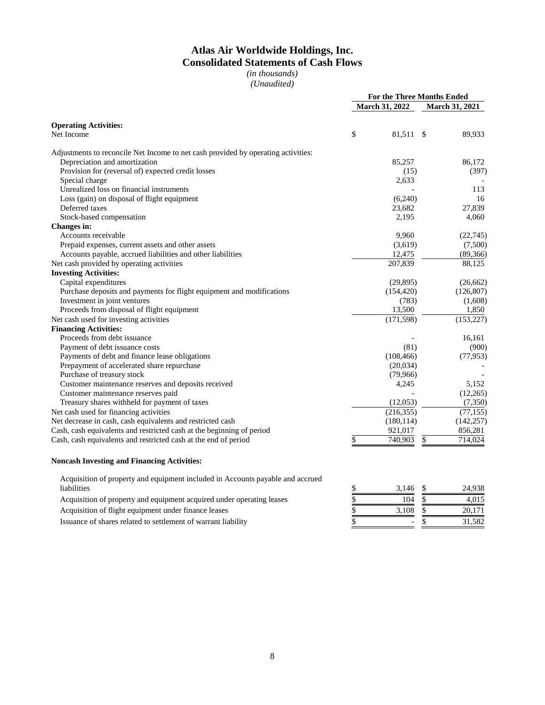# **Atlas Air Worldwide Holdings, Inc. Consolidated Statements of Cash Flows**

*(in thousands) (Unaudited)*

|                                                                                   | For the Three Months Ended |                       |    |                |
|-----------------------------------------------------------------------------------|----------------------------|-----------------------|----|----------------|
|                                                                                   |                            | <b>March 31, 2022</b> |    | March 31, 2021 |
| <b>Operating Activities:</b>                                                      |                            |                       |    |                |
| Net Income                                                                        | \$                         | 81,511 \$             |    | 89,933         |
| Adjustments to reconcile Net Income to net cash provided by operating activities: |                            |                       |    |                |
| Depreciation and amortization                                                     |                            | 85,257                |    | 86,172         |
| Provision for (reversal of) expected credit losses                                |                            | (15)                  |    | (397)          |
| Special charge                                                                    |                            | 2,633                 |    |                |
| Unrealized loss on financial instruments                                          |                            |                       |    | 113            |
| Loss (gain) on disposal of flight equipment                                       |                            | (6,240)               |    | 16             |
| Deferred taxes                                                                    |                            | 23,682                |    | 27,839         |
| Stock-based compensation                                                          |                            | 2,195                 |    | 4,060          |
| Changes in:                                                                       |                            |                       |    |                |
| Accounts receivable                                                               |                            | 9,960                 |    | (22, 745)      |
| Prepaid expenses, current assets and other assets                                 |                            | (3,619)               |    | (7,500)        |
| Accounts payable, accrued liabilities and other liabilities                       |                            | 12,475                |    | (89,366)       |
| Net cash provided by operating activities                                         |                            | 207,839               |    | 88,125         |
| <b>Investing Activities:</b>                                                      |                            |                       |    |                |
| Capital expenditures                                                              |                            | (29, 895)             |    | (26, 662)      |
| Purchase deposits and payments for flight equipment and modifications             |                            | (154, 420)            |    | (126, 807)     |
| Investment in joint ventures                                                      |                            | (783)                 |    | (1,608)        |
| Proceeds from disposal of flight equipment                                        |                            | 13,500                |    | 1,850          |
| Net cash used for investing activities                                            |                            | (171, 598)            |    | (153, 227)     |
| <b>Financing Activities:</b>                                                      |                            |                       |    |                |
| Proceeds from debt issuance                                                       |                            |                       |    | 16,161         |
| Payment of debt issuance costs                                                    |                            | (81)                  |    | (900)          |
| Payments of debt and finance lease obligations                                    |                            | (108, 466)            |    | (77, 953)      |
| Prepayment of accelerated share repurchase                                        |                            | (20,034)              |    |                |
| Purchase of treasury stock                                                        |                            | (79,966)              |    |                |
| Customer maintenance reserves and deposits received                               |                            | 4,245                 |    | 5,152          |
| Customer maintenance reserves paid                                                |                            |                       |    | (12,265)       |
| Treasury shares withheld for payment of taxes                                     |                            | (12,053)              |    | (7,350)        |
| Net cash used for financing activities                                            |                            | (216, 355)            |    | (77, 155)      |
| Net decrease in cash, cash equivalents and restricted cash                        |                            | (180, 114)            |    | (142, 257)     |
| Cash, cash equivalents and restricted cash at the beginning of period             |                            | 921,017               |    | 856,281        |
| Cash, cash equivalents and restricted cash at the end of period                   | \$                         | 740,903               | \$ | 714,024        |

#### **Noncash Investing and Financing Activities:**

| Acquisition of property and equipment included in Accounts payable and accrued |       |        |
|--------------------------------------------------------------------------------|-------|--------|
| liabilities                                                                    | 3.146 | 24.938 |
| Acquisition of property and equipment acquired under operating leases          | 104   | 4.015  |

Acquisition of flight equipment under finance leases

Issuance of shares related to settlement of warrant liability  $\frac{1}{5}$ 

| \$<br>3,146 | \$<br>24,938 |
|-------------|--------------|
| \$<br>104   | \$<br>4,015  |
| \$<br>3,108 | \$<br>20,171 |
| \$          | 31,582       |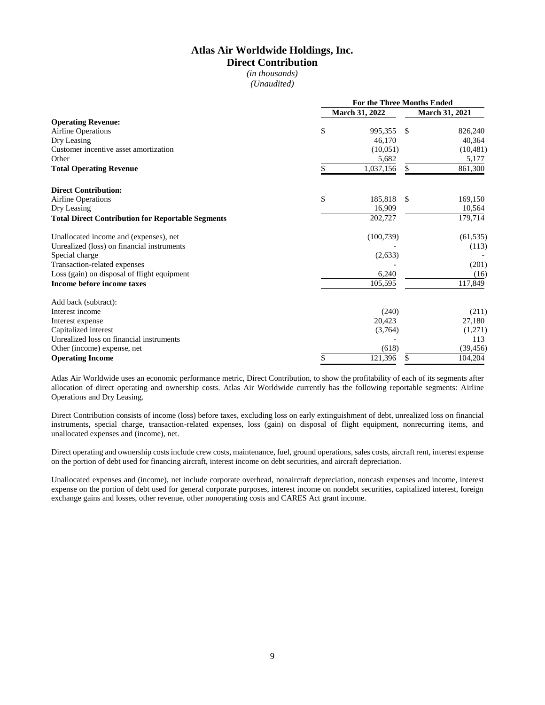## **Atlas Air Worldwide Holdings, Inc. Direct Contribution**

*(in thousands) (Unaudited)*

|                                                          | <b>For the Three Months Ended</b> |                |                       |           |  |  |
|----------------------------------------------------------|-----------------------------------|----------------|-----------------------|-----------|--|--|
|                                                          |                                   | March 31, 2022 | <b>March 31, 2021</b> |           |  |  |
| <b>Operating Revenue:</b>                                |                                   |                |                       |           |  |  |
| <b>Airline Operations</b>                                | \$                                | 995.355        | S                     | 826,240   |  |  |
| Dry Leasing                                              |                                   | 46,170         |                       | 40,364    |  |  |
| Customer incentive asset amortization                    |                                   | (10,051)       |                       | (10, 481) |  |  |
| Other                                                    |                                   | 5,682          |                       | 5,177     |  |  |
| <b>Total Operating Revenue</b>                           | S                                 | 1,037,156      | \$                    | 861,300   |  |  |
| <b>Direct Contribution:</b>                              |                                   |                |                       |           |  |  |
| <b>Airline Operations</b>                                | \$                                | 185.818        | <sup>\$</sup>         | 169,150   |  |  |
| Dry Leasing                                              |                                   | 16,909         |                       | 10,564    |  |  |
| <b>Total Direct Contribution for Reportable Segments</b> |                                   | 202,727        |                       | 179,714   |  |  |
| Unallocated income and (expenses), net                   |                                   | (100, 739)     |                       | (61, 535) |  |  |
| Unrealized (loss) on financial instruments               |                                   |                |                       | (113)     |  |  |
| Special charge                                           |                                   | (2,633)        |                       |           |  |  |
| Transaction-related expenses                             |                                   |                |                       | (201)     |  |  |
| Loss (gain) on disposal of flight equipment              |                                   | 6,240          |                       | (16)      |  |  |
| Income before income taxes                               |                                   | 105,595        |                       | 117,849   |  |  |
| Add back (subtract):                                     |                                   |                |                       |           |  |  |
| Interest income                                          |                                   | (240)          |                       | (211)     |  |  |
| Interest expense                                         |                                   | 20,423         |                       | 27,180    |  |  |
| Capitalized interest                                     |                                   | (3,764)        |                       | (1,271)   |  |  |
| Unrealized loss on financial instruments                 |                                   |                |                       | 113       |  |  |
| Other (income) expense, net                              |                                   | (618)          |                       | (39, 456) |  |  |
| <b>Operating Income</b>                                  | \$                                | 121,396        |                       | 104,204   |  |  |

Atlas Air Worldwide uses an economic performance metric, Direct Contribution, to show the profitability of each of its segments after allocation of direct operating and ownership costs. Atlas Air Worldwide currently has the following reportable segments: Airline Operations and Dry Leasing.

Direct Contribution consists of income (loss) before taxes, excluding loss on early extinguishment of debt, unrealized loss on financial instruments, special charge, transaction-related expenses, loss (gain) on disposal of flight equipment, nonrecurring items, and unallocated expenses and (income), net.

Direct operating and ownership costs include crew costs, maintenance, fuel, ground operations, sales costs, aircraft rent, interest expense on the portion of debt used for financing aircraft, interest income on debt securities, and aircraft depreciation.

Unallocated expenses and (income), net include corporate overhead, nonaircraft depreciation, noncash expenses and income, interest expense on the portion of debt used for general corporate purposes, interest income on nondebt securities, capitalized interest, foreign exchange gains and losses, other revenue, other nonoperating costs and CARES Act grant income.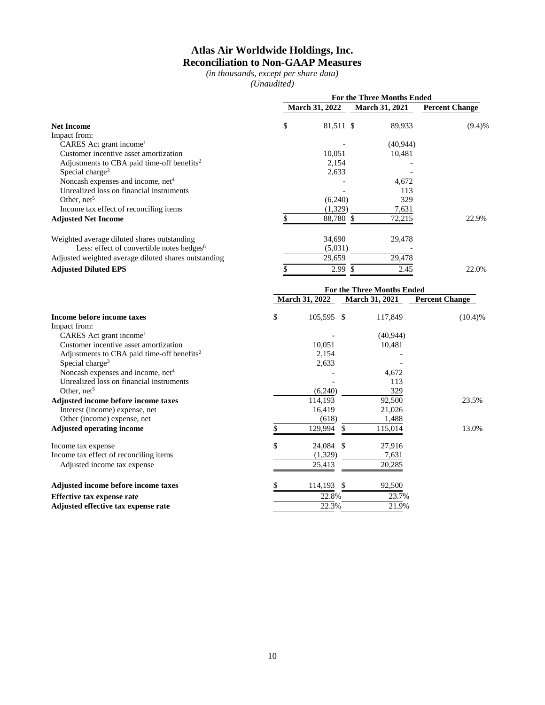## **Atlas Air Worldwide Holdings, Inc. Reconciliation to Non-GAAP Measures**

*(in thousands, except per share data) (Unaudited)*

|                                                        | <b>For the Three Months Ended</b> |           |                       |                       |        |
|--------------------------------------------------------|-----------------------------------|-----------|-----------------------|-----------------------|--------|
| <b>Net Income</b>                                      | <b>March 31, 2022</b>             |           | <b>March 31, 2021</b> | <b>Percent Change</b> |        |
|                                                        | \$                                | 81,511 \$ |                       | 89,933                | (9.4)% |
| Impact from:                                           |                                   |           |                       |                       |        |
| CARES Act grant income <sup>1</sup>                    |                                   |           |                       | (40, 944)             |        |
| Customer incentive asset amortization                  |                                   | 10,051    |                       | 10,481                |        |
| Adjustments to CBA paid time-off benefits <sup>2</sup> |                                   | 2,154     |                       |                       |        |
| Special charge <sup>3</sup>                            |                                   | 2,633     |                       |                       |        |
| Noncash expenses and income, net <sup>4</sup>          |                                   |           |                       | 4,672                 |        |
| Unrealized loss on financial instruments               |                                   |           |                       | 113                   |        |
| Other, $net5$                                          |                                   | (6,240)   |                       | 329                   |        |
| Income tax effect of reconciling items                 |                                   | (1,329)   |                       | 7,631                 |        |
| <b>Adjusted Net Income</b>                             |                                   | 88,780 \$ |                       | 72,215                | 22.9%  |
| Weighted average diluted shares outstanding            |                                   | 34,690    |                       | 29,478                |        |
| Less: effect of convertible notes hedges $6$           |                                   | (5,031)   |                       |                       |        |
| Adjusted weighted average diluted shares outstanding   |                                   | 29,659    |                       | 29,478                |        |
| <b>Adjusted Diluted EPS</b>                            |                                   | 2.99      |                       | 2.45                  | 22.0%  |

|                                                        | For the Three Months Ended |                       |     |                       |                       |  |
|--------------------------------------------------------|----------------------------|-----------------------|-----|-----------------------|-----------------------|--|
|                                                        |                            | <b>March 31, 2022</b> |     | <b>March 31, 2021</b> | <b>Percent Change</b> |  |
| Income before income taxes                             | \$                         | 105,595 \$            |     | 117,849               | (10.4)%               |  |
| Impact from:                                           |                            |                       |     |                       |                       |  |
| CARES Act grant income <sup>1</sup>                    |                            |                       |     | (40, 944)             |                       |  |
| Customer incentive asset amortization                  |                            | 10,051                |     | 10,481                |                       |  |
| Adjustments to CBA paid time-off benefits <sup>2</sup> |                            | 2,154                 |     |                       |                       |  |
| Special charge <sup>3</sup>                            |                            | 2,633                 |     |                       |                       |  |
| Noncash expenses and income, net <sup>4</sup>          |                            |                       |     | 4,672                 |                       |  |
| Unrealized loss on financial instruments               |                            |                       |     | 113                   |                       |  |
| Other, $net5$                                          |                            | (6,240)               |     | 329                   |                       |  |
| Adjusted income before income taxes                    |                            | 114,193               |     | 92,500                | 23.5%                 |  |
| Interest (income) expense, net                         |                            | 16,419                |     | 21,026                |                       |  |
| Other (income) expense, net                            |                            | (618)                 |     | 1,488                 |                       |  |
| <b>Adjusted operating income</b>                       |                            | 129,994               | \$. | 115,014               | 13.0%                 |  |
| Income tax expense                                     | \$                         | 24,084 \$             |     | 27,916                |                       |  |
| Income tax effect of reconciling items                 |                            | (1,329)               |     | 7,631                 |                       |  |
| Adjusted income tax expense                            |                            | 25,413                |     | 20,285                |                       |  |
| Adjusted income before income taxes                    |                            | 114,193               | -S  | 92,500                |                       |  |
| <b>Effective tax expense rate</b>                      |                            | 22.8%                 |     | 23.7%                 |                       |  |
| Adjusted effective tax expense rate                    |                            | 22.3%                 |     | 21.9%                 |                       |  |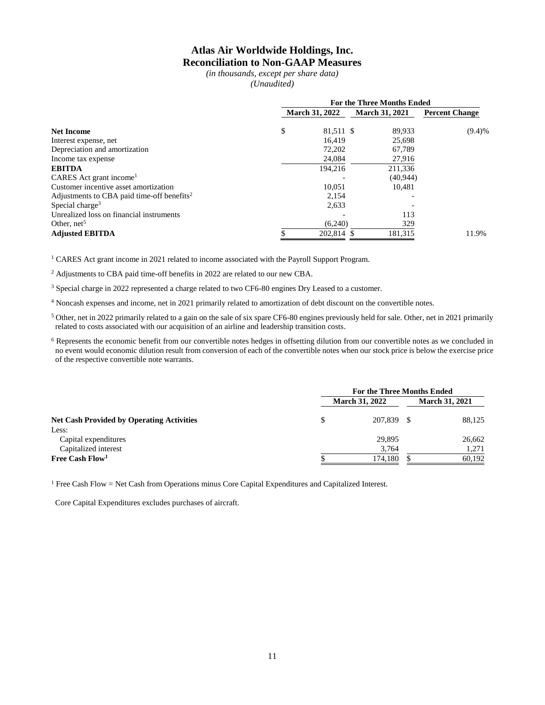### **Atlas Air Worldwide Holdings, Inc. Reconciliation to Non-GAAP Measures**

*(in thousands, except per share data) (Unaudited)*

|                                                        | <b>For the Three Months Ended</b> |            |                       |                       |        |  |  |
|--------------------------------------------------------|-----------------------------------|------------|-----------------------|-----------------------|--------|--|--|
|                                                        | <b>March 31, 2022</b>             |            | <b>March 31, 2021</b> | <b>Percent Change</b> |        |  |  |
| <b>Net Income</b>                                      | \$                                | 81,511 \$  |                       | 89,933                | (9.4)% |  |  |
| Interest expense, net                                  |                                   | 16.419     |                       | 25,698                |        |  |  |
| Depreciation and amortization                          |                                   | 72,202     |                       | 67,789                |        |  |  |
| Income tax expense                                     |                                   | 24,084     |                       | 27,916                |        |  |  |
| <b>EBITDA</b>                                          |                                   | 194,216    |                       | 211,336               |        |  |  |
| CARES Act grant income <sup>1</sup>                    |                                   |            |                       | (40, 944)             |        |  |  |
| Customer incentive asset amortization                  |                                   | 10.051     |                       | 10.481                |        |  |  |
| Adjustments to CBA paid time-off benefits <sup>2</sup> |                                   | 2,154      |                       |                       |        |  |  |
| Special charge <sup>3</sup>                            |                                   | 2,633      |                       |                       |        |  |  |
| Unrealized loss on financial instruments               |                                   |            |                       | 113                   |        |  |  |
| Other, $net5$                                          |                                   | (6,240)    |                       | 329                   |        |  |  |
| <b>Adjusted EBITDA</b>                                 |                                   | 202,814 \$ |                       | 181,315               | 11.9%  |  |  |

<sup>1</sup> CARES Act grant income in 2021 related to income associated with the Payroll Support Program.

<sup>2</sup> Adjustments to CBA paid time-off benefits in 2022 are related to our new CBA.

<sup>3</sup> Special charge in 2022 represented a charge related to two CF6-80 engines Dry Leased to a customer.

<sup>4</sup> Noncash expenses and income, net in 2021 primarily related to amortization of debt discount on the convertible notes.

 $5$  Other, net in 2022 primarily related to a gain on the sale of six spare CF6-80 engines previously held for sale. Other, net in 2021 primarily related to costs associated with our acquisition of an airline and leadership transition costs.

<sup>6</sup> Represents the economic benefit from our convertible notes hedges in offsetting dilution from our convertible notes as we concluded in no event would economic dilution result from conversion of each of the convertible notes when our stock price is below the exercise price of the respective convertible note warrants.

|                                                  | <b>For the Three Months Ended</b> |                       |                       |        |  |
|--------------------------------------------------|-----------------------------------|-----------------------|-----------------------|--------|--|
| <b>Net Cash Provided by Operating Activities</b> |                                   | <b>March 31, 2022</b> | <b>March 31, 2021</b> |        |  |
|                                                  |                                   | 207,839               |                       | 88,125 |  |
| Less:                                            |                                   |                       |                       |        |  |
| Capital expenditures                             |                                   | 29,895                |                       | 26,662 |  |
| Capitalized interest                             |                                   | 3.764                 |                       | 1,271  |  |
| Free Cash $Flow1$                                |                                   | 174,180               |                       | 60,192 |  |

<sup>1</sup> Free Cash Flow = Net Cash from Operations minus Core Capital Expenditures and Capitalized Interest.

Core Capital Expenditures excludes purchases of aircraft.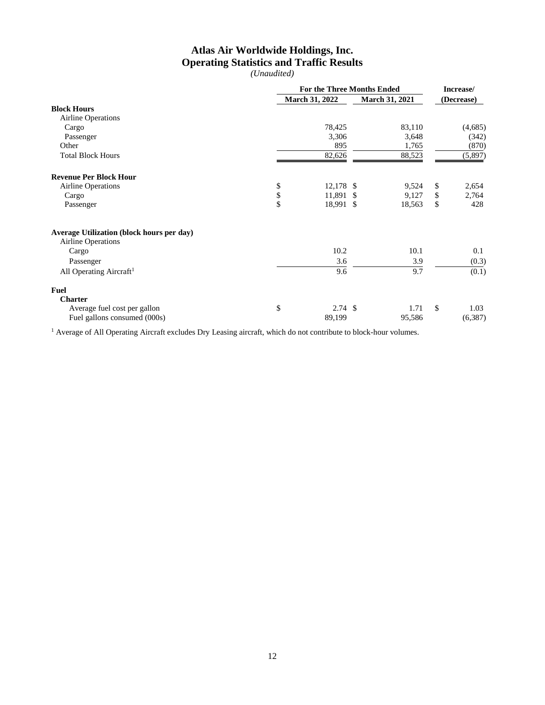# **Atlas Air Worldwide Holdings, Inc. Operating Statistics and Traffic Results**

*(Unaudited)*

|                                                                        | <b>For the Three Months Ended</b> |                       |  |                       | Increase/ |            |
|------------------------------------------------------------------------|-----------------------------------|-----------------------|--|-----------------------|-----------|------------|
|                                                                        |                                   | <b>March 31, 2022</b> |  | <b>March 31, 2021</b> |           | (Decrease) |
| <b>Block Hours</b>                                                     |                                   |                       |  |                       |           |            |
| <b>Airline Operations</b>                                              |                                   |                       |  |                       |           |            |
| Cargo                                                                  |                                   | 78,425                |  | 83,110                |           | (4,685)    |
| Passenger                                                              |                                   | 3,306                 |  | 3,648                 |           | (342)      |
| Other                                                                  |                                   | 895                   |  | 1,765                 |           | (870)      |
| <b>Total Block Hours</b>                                               |                                   | 82,626                |  | 88,523                |           | (5,897)    |
| <b>Revenue Per Block Hour</b>                                          |                                   |                       |  |                       |           |            |
| <b>Airline Operations</b>                                              | \$                                | 12,178 \$             |  | 9,524                 | \$        | 2,654      |
| Cargo                                                                  | \$                                | 11,891 \$             |  | 9,127                 | \$        | 2,764      |
| Passenger                                                              | \$                                | 18,991 \$             |  | 18,563                | \$        | 428        |
| Average Utilization (block hours per day)<br><b>Airline Operations</b> |                                   |                       |  |                       |           |            |
| Cargo                                                                  |                                   | 10.2                  |  | 10.1                  |           | 0.1        |
| Passenger                                                              |                                   | 3.6                   |  | 3.9                   |           | (0.3)      |
| All Operating Aircraft <sup>1</sup>                                    |                                   | 9.6                   |  | $\overline{9.7}$      |           | (0.1)      |
| Fuel                                                                   |                                   |                       |  |                       |           |            |
| <b>Charter</b>                                                         |                                   |                       |  |                       |           |            |
| Average fuel cost per gallon                                           | \$                                | $2.74$ \$             |  | 1.71                  | \$        | 1.03       |
| Fuel gallons consumed (000s)                                           |                                   | 89,199                |  | 95,586                |           | (6, 387)   |

<sup>1</sup> Average of All Operating Aircraft excludes Dry Leasing aircraft, which do not contribute to block-hour volumes.